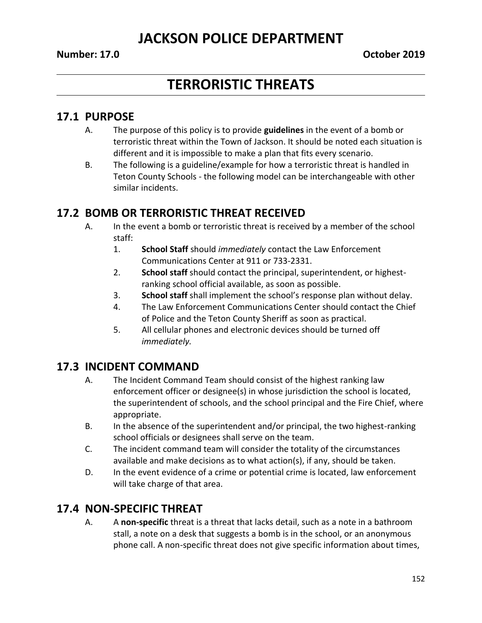# **TERRORISTIC THREATS**

#### **17.1 PURPOSE**

- A. The purpose of this policy is to provide **guidelines** in the event of a bomb or terroristic threat within the Town of Jackson. It should be noted each situation is different and it is impossible to make a plan that fits every scenario.
- B. The following is a guideline/example for how a terroristic threat is handled in Teton County Schools - the following model can be interchangeable with other similar incidents.

#### **17.2 BOMB OR TERRORISTIC THREAT RECEIVED**

- A. In the event a bomb or terroristic threat is received by a member of the school staff:
	- 1. **School Staff** should *immediately* contact the Law Enforcement Communications Center at 911 or 733-2331.
	- 2. **School staff** should contact the principal, superintendent, or highestranking school official available, as soon as possible.
	- 3. **School staff** shall implement the school's response plan without delay.
	- 4. The Law Enforcement Communications Center should contact the Chief of Police and the Teton County Sheriff as soon as practical.
	- 5. All cellular phones and electronic devices should be turned off *immediately.*

## **17.3 INCIDENT COMMAND**

- A. The Incident Command Team should consist of the highest ranking law enforcement officer or designee(s) in whose jurisdiction the school is located, the superintendent of schools, and the school principal and the Fire Chief, where appropriate.
- B. In the absence of the superintendent and/or principal, the two highest-ranking school officials or designees shall serve on the team.
- C. The incident command team will consider the totality of the circumstances available and make decisions as to what action(s), if any, should be taken.
- D. In the event evidence of a crime or potential crime is located, law enforcement will take charge of that area.

## **17.4 NON-SPECIFIC THREAT**

A. A **non-specific** threat is a threat that lacks detail, such as a note in a bathroom stall, a note on a desk that suggests a bomb is in the school, or an anonymous phone call. A non-specific threat does not give specific information about times,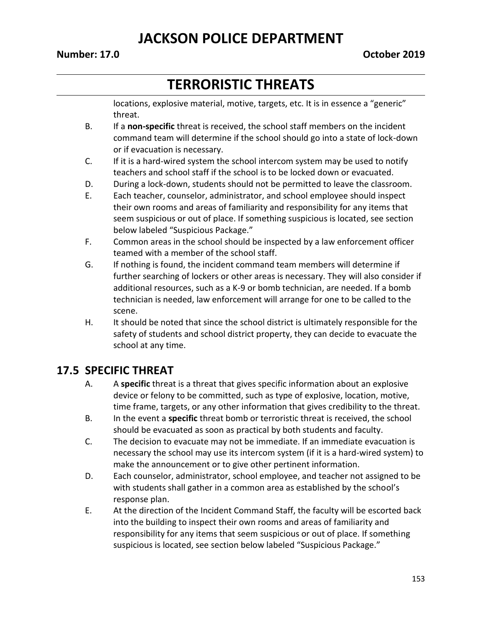#### **Number: 17.0 October 2019**

# **TERRORISTIC THREATS**

locations, explosive material, motive, targets, etc. It is in essence a "generic" threat.

- B. If a **non-specific** threat is received, the school staff members on the incident command team will determine if the school should go into a state of lock-down or if evacuation is necessary.
- C. If it is a hard-wired system the school intercom system may be used to notify teachers and school staff if the school is to be locked down or evacuated.
- D. During a lock-down, students should not be permitted to leave the classroom.
- E. Each teacher, counselor, administrator, and school employee should inspect their own rooms and areas of familiarity and responsibility for any items that seem suspicious or out of place. If something suspicious is located, see section below labeled "Suspicious Package."
- F. Common areas in the school should be inspected by a law enforcement officer teamed with a member of the school staff.
- G. If nothing is found, the incident command team members will determine if further searching of lockers or other areas is necessary. They will also consider if additional resources, such as a K-9 or bomb technician, are needed. If a bomb technician is needed, law enforcement will arrange for one to be called to the scene.
- H. It should be noted that since the school district is ultimately responsible for the safety of students and school district property, they can decide to evacuate the school at any time.

#### **17.5 SPECIFIC THREAT**

- A. A **specific** threat is a threat that gives specific information about an explosive device or felony to be committed, such as type of explosive, location, motive, time frame, targets, or any other information that gives credibility to the threat.
- B. In the event a **specific** threat bomb or terroristic threat is received, the school should be evacuated as soon as practical by both students and faculty.
- C. The decision to evacuate may not be immediate. If an immediate evacuation is necessary the school may use its intercom system (if it is a hard-wired system) to make the announcement or to give other pertinent information.
- D. Each counselor, administrator, school employee, and teacher not assigned to be with students shall gather in a common area as established by the school's response plan.
- E. At the direction of the Incident Command Staff, the faculty will be escorted back into the building to inspect their own rooms and areas of familiarity and responsibility for any items that seem suspicious or out of place. If something suspicious is located, see section below labeled "Suspicious Package."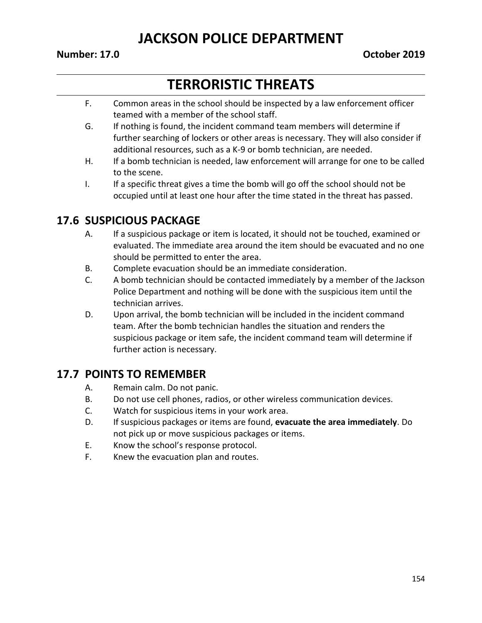#### **Number: 17.0 October 2019**

# **TERRORISTIC THREATS**

- F. Common areas in the school should be inspected by a law enforcement officer teamed with a member of the school staff.
- G. If nothing is found, the incident command team members will determine if further searching of lockers or other areas is necessary. They will also consider if additional resources, such as a K-9 or bomb technician, are needed.
- H. If a bomb technician is needed, law enforcement will arrange for one to be called to the scene.
- I. If a specific threat gives a time the bomb will go off the school should not be occupied until at least one hour after the time stated in the threat has passed.

#### **17.6 SUSPICIOUS PACKAGE**

- A. If a suspicious package or item is located, it should not be touched, examined or evaluated. The immediate area around the item should be evacuated and no one should be permitted to enter the area.
- B. Complete evacuation should be an immediate consideration.
- C. A bomb technician should be contacted immediately by a member of the Jackson Police Department and nothing will be done with the suspicious item until the technician arrives.
- D. Upon arrival, the bomb technician will be included in the incident command team. After the bomb technician handles the situation and renders the suspicious package or item safe, the incident command team will determine if further action is necessary.

#### **17.7 POINTS TO REMEMBER**

- A. Remain calm. Do not panic.
- B. Do not use cell phones, radios, or other wireless communication devices.
- C. Watch for suspicious items in your work area.
- D. If suspicious packages or items are found, **evacuate the area immediately**. Do not pick up or move suspicious packages or items.
- E. Know the school's response protocol.
- F. Knew the evacuation plan and routes.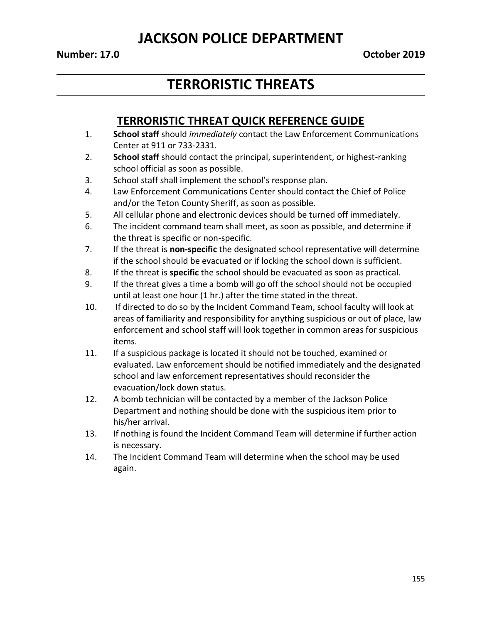# **TERRORISTIC THREATS**

### **TERRORISTIC THREAT QUICK REFERENCE GUIDE**

- 1. **School staff** should *immediately* contact the Law Enforcement Communications Center at 911 or 733-2331.
- 2. **School staff** should contact the principal, superintendent, or highest-ranking school official as soon as possible.
- 3. School staff shall implement the school's response plan.
- 4. Law Enforcement Communications Center should contact the Chief of Police and/or the Teton County Sheriff, as soon as possible.
- 5. All cellular phone and electronic devices should be turned off immediately.
- 6. The incident command team shall meet, as soon as possible, and determine if the threat is specific or non-specific.
- 7. If the threat is **non-specific** the designated school representative will determine if the school should be evacuated or if locking the school down is sufficient.
- 8. If the threat is **specific** the school should be evacuated as soon as practical.
- 9. If the threat gives a time a bomb will go off the school should not be occupied until at least one hour (1 hr.) after the time stated in the threat.
- 10. If directed to do so by the Incident Command Team, school faculty will look at areas of familiarity and responsibility for anything suspicious or out of place, law enforcement and school staff will look together in common areas for suspicious items.
- 11. If a suspicious package is located it should not be touched, examined or evaluated. Law enforcement should be notified immediately and the designated school and law enforcement representatives should reconsider the evacuation/lock down status.
- 12. A bomb technician will be contacted by a member of the Jackson Police Department and nothing should be done with the suspicious item prior to his/her arrival.
- 13. If nothing is found the Incident Command Team will determine if further action is necessary.
- 14. The Incident Command Team will determine when the school may be used again.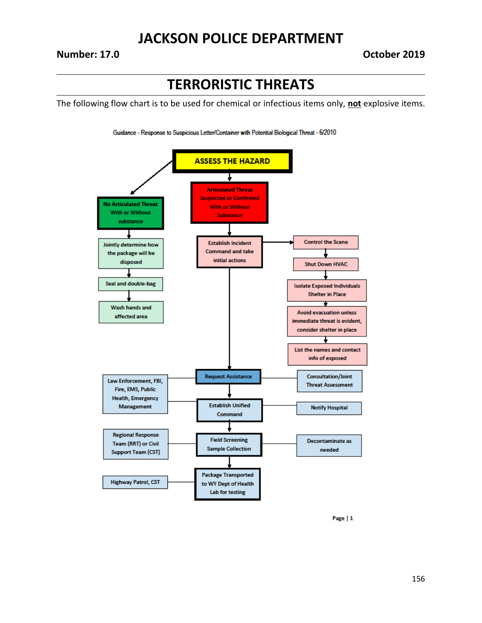#### **Number: 17.0 October 2019**

## **TERRORISTIC THREATS**

The following flow chart is to be used for chemical or infectious items only, **not** explosive items.





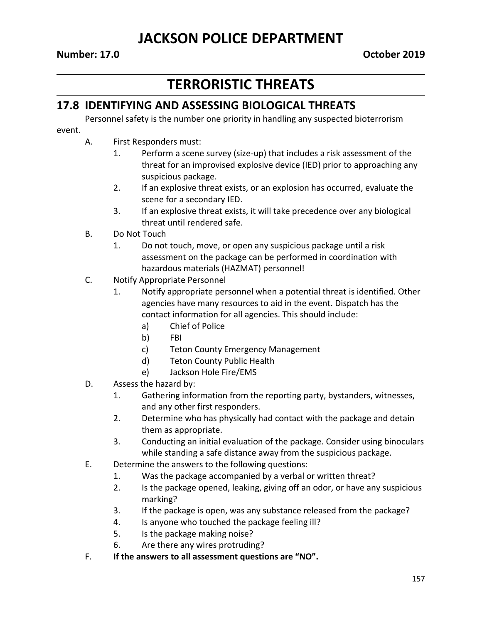# **TERRORISTIC THREATS**

### **17.8 IDENTIFYING AND ASSESSING BIOLOGICAL THREATS**

Personnel safety is the number one priority in handling any suspected bioterrorism

#### event.

- A. First Responders must:
	- 1. Perform a scene survey (size-up) that includes a risk assessment of the threat for an improvised explosive device (IED) prior to approaching any suspicious package.
	- 2. If an explosive threat exists, or an explosion has occurred, evaluate the scene for a secondary IED.
	- 3. If an explosive threat exists, it will take precedence over any biological threat until rendered safe.
- B. Do Not Touch
	- 1. Do not touch, move, or open any suspicious package until a risk assessment on the package can be performed in coordination with hazardous materials (HAZMAT) personnel!
- C. Notify Appropriate Personnel
	- 1. Notify appropriate personnel when a potential threat is identified. Other agencies have many resources to aid in the event. Dispatch has the contact information for all agencies. This should include:
		- a) Chief of Police
		- b) FBI
		- c) Teton County Emergency Management
		- d) Teton County Public Health
		- e) Jackson Hole Fire/EMS
- D. Assess the hazard by:
	- 1. Gathering information from the reporting party, bystanders, witnesses, and any other first responders.
	- 2. Determine who has physically had contact with the package and detain them as appropriate.
	- 3. Conducting an initial evaluation of the package. Consider using binoculars while standing a safe distance away from the suspicious package.
- E. Determine the answers to the following questions:
	- 1. Was the package accompanied by a verbal or written threat?
	- 2. Is the package opened, leaking, giving off an odor, or have any suspicious marking?
	- 3. If the package is open, was any substance released from the package?
	- 4. Is anyone who touched the package feeling ill?
	- 5. Is the package making noise?
	- 6. Are there any wires protruding?
- F. **If the answers to all assessment questions are "NO".**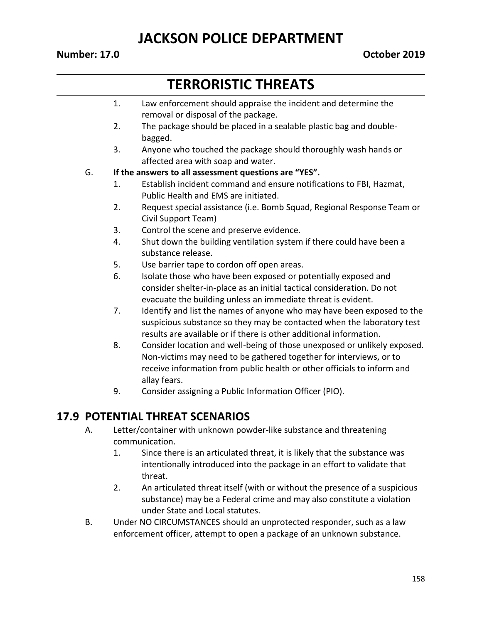#### **Number: 17.0 October 2019**

# **TERRORISTIC THREATS**

- 1. Law enforcement should appraise the incident and determine the removal or disposal of the package.
- 2. The package should be placed in a sealable plastic bag and doublebagged.
- 3. Anyone who touched the package should thoroughly wash hands or affected area with soap and water.

#### G. **If the answers to all assessment questions are "YES".**

- 1. Establish incident command and ensure notifications to FBI, Hazmat, Public Health and EMS are initiated.
- 2. Request special assistance (i.e. Bomb Squad, Regional Response Team or Civil Support Team)
- 3. Control the scene and preserve evidence.
- 4. Shut down the building ventilation system if there could have been a substance release.
- 5. Use barrier tape to cordon off open areas.
- 6. Isolate those who have been exposed or potentially exposed and consider shelter-in-place as an initial tactical consideration. Do not evacuate the building unless an immediate threat is evident.
- 7. Identify and list the names of anyone who may have been exposed to the suspicious substance so they may be contacted when the laboratory test results are available or if there is other additional information.
- 8. Consider location and well-being of those unexposed or unlikely exposed. Non-victims may need to be gathered together for interviews, or to receive information from public health or other officials to inform and allay fears.
- 9. Consider assigning a Public Information Officer (PIO).

#### **17.9 POTENTIAL THREAT SCENARIOS**

- A. Letter/container with unknown powder-like substance and threatening communication.
	- 1. Since there is an articulated threat, it is likely that the substance was intentionally introduced into the package in an effort to validate that threat.
	- 2. An articulated threat itself (with or without the presence of a suspicious substance) may be a Federal crime and may also constitute a violation under State and Local statutes.
- B. Under NO CIRCUMSTANCES should an unprotected responder, such as a law enforcement officer, attempt to open a package of an unknown substance.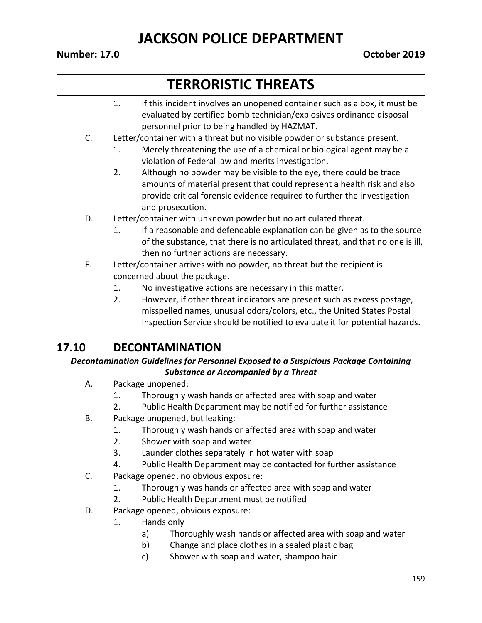#### **Number: 17.0 October 2019**

# **TERRORISTIC THREATS**

- 1. If this incident involves an unopened container such as a box, it must be evaluated by certified bomb technician/explosives ordinance disposal personnel prior to being handled by HAZMAT.
- C. Letter/container with a threat but no visible powder or substance present.
	- 1. Merely threatening the use of a chemical or biological agent may be a violation of Federal law and merits investigation.
	- 2. Although no powder may be visible to the eye, there could be trace amounts of material present that could represent a health risk and also provide critical forensic evidence required to further the investigation and prosecution.
- D. Letter/container with unknown powder but no articulated threat.
	- 1. If a reasonable and defendable explanation can be given as to the source of the substance, that there is no articulated threat, and that no one is ill, then no further actions are necessary.
- E. Letter/container arrives with no powder, no threat but the recipient is concerned about the package.
	- 1. No investigative actions are necessary in this matter.
	- 2. However, if other threat indicators are present such as excess postage, misspelled names, unusual odors/colors, etc., the United States Postal Inspection Service should be notified to evaluate it for potential hazards.

## **17.10 DECONTAMINATION**

#### *Decontamination Guidelines for Personnel Exposed to a Suspicious Package Containing Substance or Accompanied by a Threat*

- A. Package unopened:
	- 1. Thoroughly wash hands or affected area with soap and water
	- 2. Public Health Department may be notified for further assistance
- B. Package unopened, but leaking:
	- 1. Thoroughly wash hands or affected area with soap and water
	- 2. Shower with soap and water
	- 3. Launder clothes separately in hot water with soap
	- 4. Public Health Department may be contacted for further assistance
- C. Package opened, no obvious exposure:
	- 1. Thoroughly was hands or affected area with soap and water
	- 2. Public Health Department must be notified
- D. Package opened, obvious exposure:
	- 1. Hands only
		- a) Thoroughly wash hands or affected area with soap and water
		- b) Change and place clothes in a sealed plastic bag
		- c) Shower with soap and water, shampoo hair